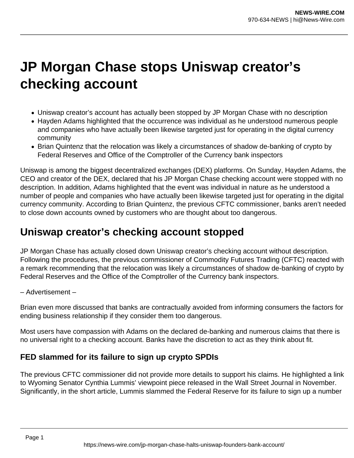## **JP Morgan Chase stops Uniswap creator's checking account**

- Uniswap creator's account has actually been stopped by JP Morgan Chase with no description
- Hayden Adams highlighted that the occurrence was individual as he understood numerous people and companies who have actually been likewise targeted just for operating in the digital currency community
- Brian Quintenz that the relocation was likely a circumstances of shadow de-banking of crypto by Federal Reserves and Office of the Comptroller of the Currency bank inspectors

Uniswap is among the biggest decentralized exchanges (DEX) platforms. On Sunday, Hayden Adams, the CEO and creator of the DEX, declared that his JP Morgan Chase checking account were stopped with no description. In addition, Adams highlighted that the event was individual in nature as he understood a number of people and companies who have actually been likewise targeted just for operating in the digital currency community. According to Brian Quintenz, the previous CFTC commissioner, banks aren't needed to close down accounts owned by customers who are thought about too dangerous.

## **Uniswap creator's checking account stopped**

JP Morgan Chase has actually closed down Uniswap creator's checking account without description. Following the procedures, the previous commissioner of Commodity Futures Trading (CFTC) reacted with a remark recommending that the relocation was likely a circumstances of shadow de-banking of crypto by Federal Reserves and the Office of the Comptroller of the Currency bank inspectors.

## – Advertisement –

Brian even more discussed that banks are contractually avoided from informing consumers the factors for ending business relationship if they consider them too dangerous.

Most users have compassion with Adams on the declared de-banking and numerous claims that there is no universal right to a checking account. Banks have the discretion to act as they think about fit.

## **FED slammed for its failure to sign up crypto SPDIs**

The previous CFTC commissioner did not provide more details to support his claims. He highlighted a link to Wyoming Senator Cynthia Lummis' viewpoint piece released in the Wall Street Journal in November. Significantly, in the short article, Lummis slammed the Federal Reserve for its failure to sign up a number